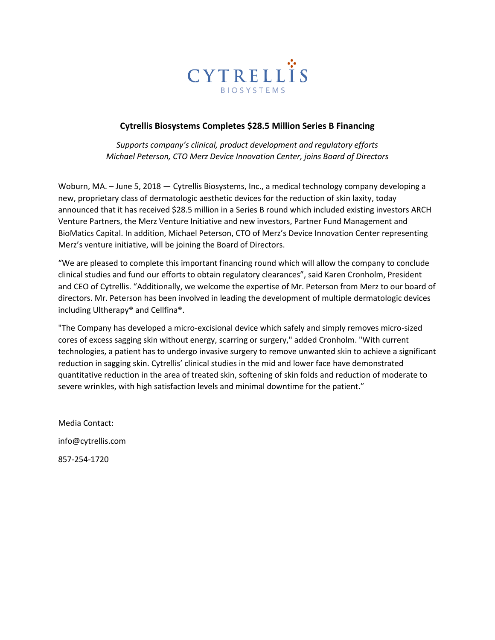

# **Cytrellis Biosystems Completes \$28.5 Million Series B Financing**

*Supports company's clinical, product development and regulatory efforts Michael Peterson, CTO Merz Device Innovation Center, joins Board of Directors*

Woburn, MA. – June 5, 2018 — Cytrellis Biosystems, Inc., a medical technology company developing a new, proprietary class of dermatologic aesthetic devices for the reduction of skin laxity, today announced that it has received \$28.5 million in a Series B round which included existing investors ARCH Venture Partners, the Merz Venture Initiative and new investors, Partner Fund Management and BioMatics Capital. In addition, Michael Peterson, CTO of Merz's Device Innovation Center representing Merz's venture initiative, will be joining the Board of Directors.

"We are pleased to complete this important financing round which will allow the company to conclude clinical studies and fund our efforts to obtain regulatory clearances", said Karen Cronholm, President and CEO of Cytrellis. "Additionally, we welcome the expertise of Mr. Peterson from Merz to our board of directors. Mr. Peterson has been involved in leading the development of multiple dermatologic devices including Ultherapy® and Cellfina®.

"The Company has developed a micro-excisional device which safely and simply removes micro-sized cores of excess sagging skin without energy, scarring or surgery," added Cronholm. "With current technologies, a patient has to undergo invasive surgery to remove unwanted skin to achieve a significant reduction in sagging skin. Cytrellis' clinical studies in the mid and lower face have demonstrated quantitative reduction in the area of treated skin, softening of skin folds and reduction of moderate to severe wrinkles, with high satisfaction levels and minimal downtime for the patient."

Media Contact: info@cytrellis.com 857-254-1720